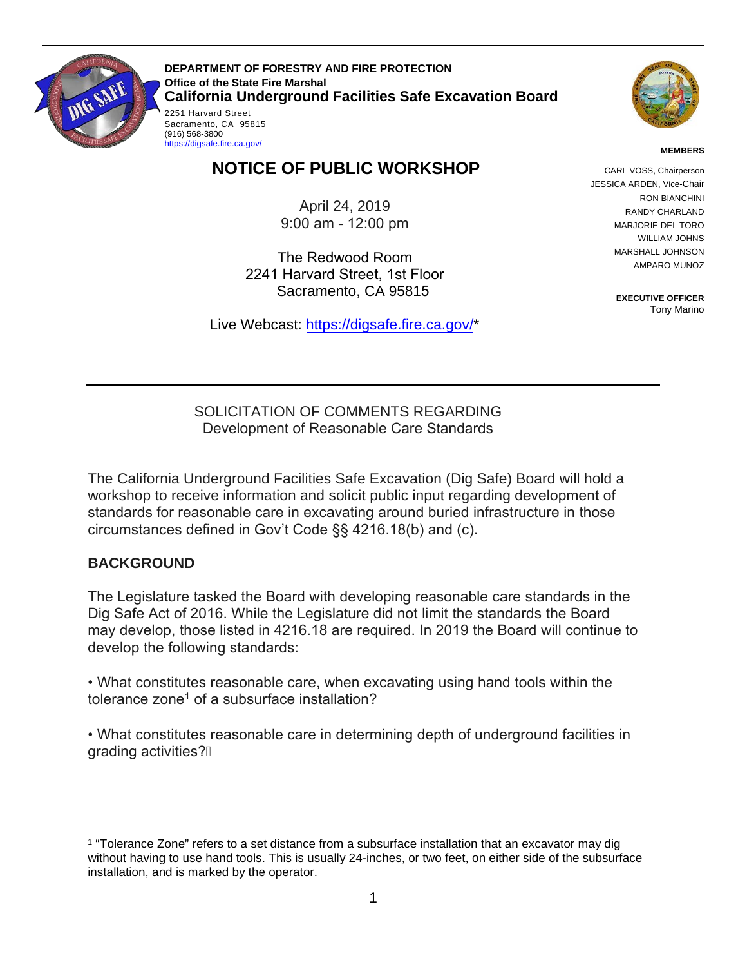

(916) 568-3800<br><u>https://digsafe.fire.ca.gov/</u>

Sacramento, CA 95815<br>(916) 568-3800 **DEPARTMENT OF FORESTRY AND FIRE PROTECTION Office of the State Fire Marshal California Underground Facilities Safe Excavation Board**  2251 Harvard Street



#### **MEMBERS**

# **NOTICE OF PUBLIC WORKSHOP**

April 24, 2019 9:00 am - 12:00 pm

 2241 Harvard Street, 1st Floor Sacramento, CA 95815 The Redwood Room

Live Webcast: [https://digsafe.fire.ca.gov/](https://global.gotomeeting.com/join/883967957)\*

CARL VOSS, Chairperson JESSICA ARDEN, Vice-Chair RON BIANCHINI RANDY CHARLAND MARJORIE DEL TORO WILLIAM JOHNS MARSHALL JOHNSON AMPARO MUNOZ

> **EXECUTIVE OFFICER**  Tony Marino

SOLICITATION OF COMMENTS REGARDING Development of Reasonable Care Standards

The California Underground Facilities Safe Excavation (Dig Safe) Board will hold a workshop to receive information and solicit public input regarding development of standards for reasonable care in excavating around buried infrastructure in those circumstances defined in Gov't Code §§ 4216.18(b) and (c).

#### **BACKGROUND**

 Dig Safe Act of 2016. While the Legislature did not limit the standards the Board The Legislature tasked the Board with developing reasonable care standards in the may develop, those listed in 4216.18 are required. In 2019 the Board will continue to develop the following standards:

• What constitutes reasonable care, when excavating using hand tools within the tolerance zone $^{\rm 1}$  of a subsurface installation?

 • What constitutes reasonable care in determining depth of underground facilities in grading activities?

 $\overline{a}$ 1 "Tolerance Zone" refers to a set distance from a subsurface installation that an excavator may dig without having to use hand tools. This is usually 24-inches, or two feet, on either side of the subsurface installation, and is marked by the operator.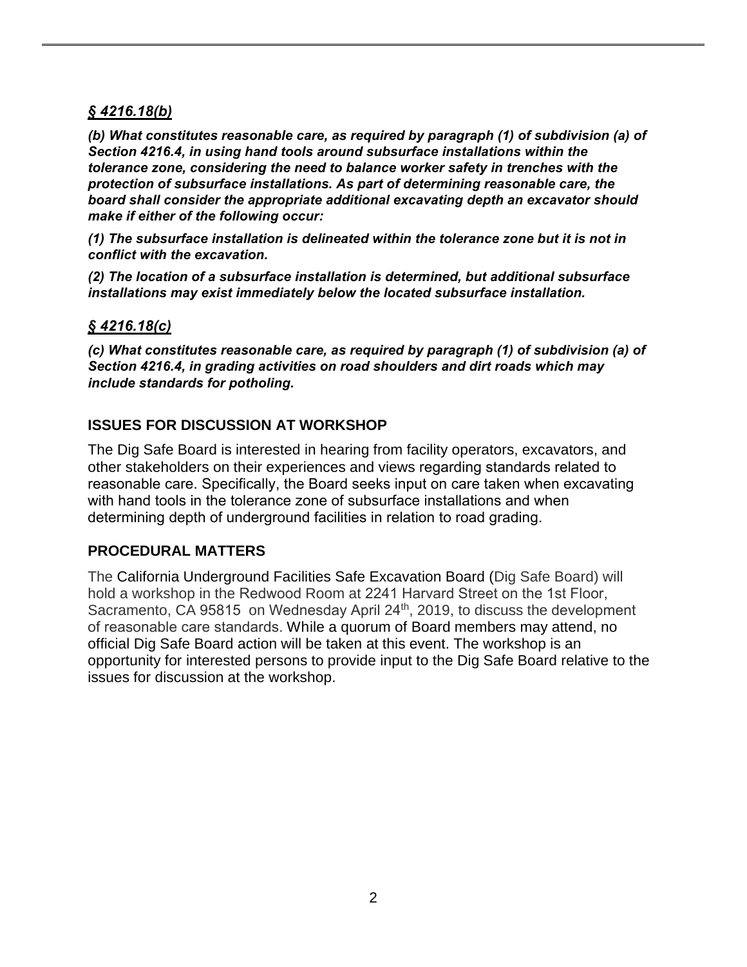## *§ 4216.18(b)*

*(b) What constitutes reasonable care, as required by paragraph (1) of subdivision (a) of Section 4216.4, in using hand tools around subsurface installations within the tolerance zone, considering the need to balance worker safety in trenches with the protection of subsurface installations. As part of determining reasonable care, the board shall consider the appropriate additional excavating depth an excavator should make if either of the following occur:*

*(1) The subsurface installation is delineated within the tolerance zone but it is not in conflict with the excavation.*

 *(2) The location of a subsurface installation is determined, but additional subsurface installations may exist immediately below the located subsurface installation.*

#### *§ 4216.18(c)*

 *(c) What constitutes reasonable care, as required by paragraph (1) of subdivision (a) of Section 4216.4, in grading activities on road shoulders and dirt roads which may include standards for potholing.*

## **ISSUES FOR DISCUSSION AT WORKSHOP**

 The Dig Safe Board is interested in hearing from facility operators, excavators, and other stakeholders on their experiences and views regarding standards related to reasonable care. Specifically, the Board seeks input on care taken when excavating with hand tools in the tolerance zone of subsurface installations and when determining depth of underground facilities in relation to road grading.

## **PROCEDURAL MATTERS**

The California Underground Facilities Safe Excavation Board (Dig Safe Board) will hold a workshop in the Redwood Room at 2241 Harvard Street on the 1st Floor, Sacramento, CA 95815 on Wednesday April 24<sup>th</sup>, 2019, to discuss the development of reasonable care standards. While a quorum of Board members may attend, no official Dig Safe Board action will be taken at this event. The workshop is an opportunity for interested persons to provide input to the Dig Safe Board relative to the issues for discussion at the workshop.